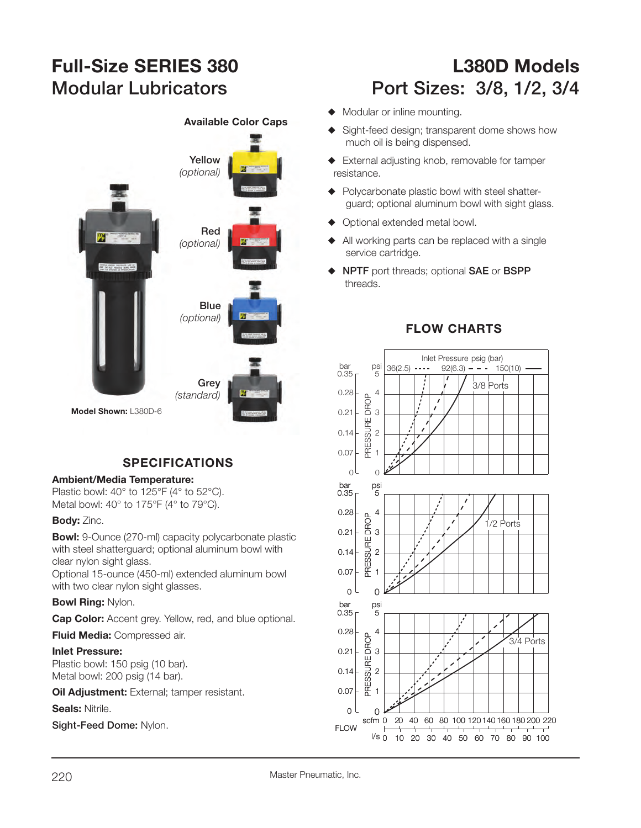

# **SPECIFICATIONS**

### **Ambient/Media Temperature:**

Plastic bowl: 40° to 125°F (4° to 52°C). Metal bowl: 40° to 175°F (4° to 79°C).

### **Body:** Zinc.

**Bowl:** 9-Ounce (270-ml) capacity polycarbonate plastic with steel shatterguard; optional aluminum bowl with clear nylon sight glass.

Optional 15-ounce (450-ml) extended aluminum bowl with two clear nylon sight glasses.

### **Bowl Ring:** Nylon.

**Cap Color:** Accent grey. Yellow, red, and blue optional.

**Fluid Media:** Compressed air.

### **Inlet Pressure:**

Plastic bowl: 150 psig (10 bar). Metal bowl: 200 psig (14 bar).

**Oil Adjustment:** External; tamper resistant.

**Seals:** Nitrile.

**Sight-Feed Dome:** Nylon.

# **Full-Size SERIES 380 L380D Models**Modular Lubricators **Port Sizes: 3/8, 1/2, 3/4**

- $\blacklozenge$  Modular or inline mounting.
- ◆ Sight-feed design; transparent dome shows how much oil is being dispensed.
- $\triangle$  External adjusting knob, removable for tamper resistance.
- $\blacklozenge$  Polycarbonate plastic bowl with steel shatterguard; optional aluminum bowl with sight glass.
- Optional extended metal bowl.
- $\blacklozenge$  All working parts can be replaced with a single service cartridge.
- ◆ NPTF port threads; optional SAE or BSPP threads.



## **FLOW CHARTS**